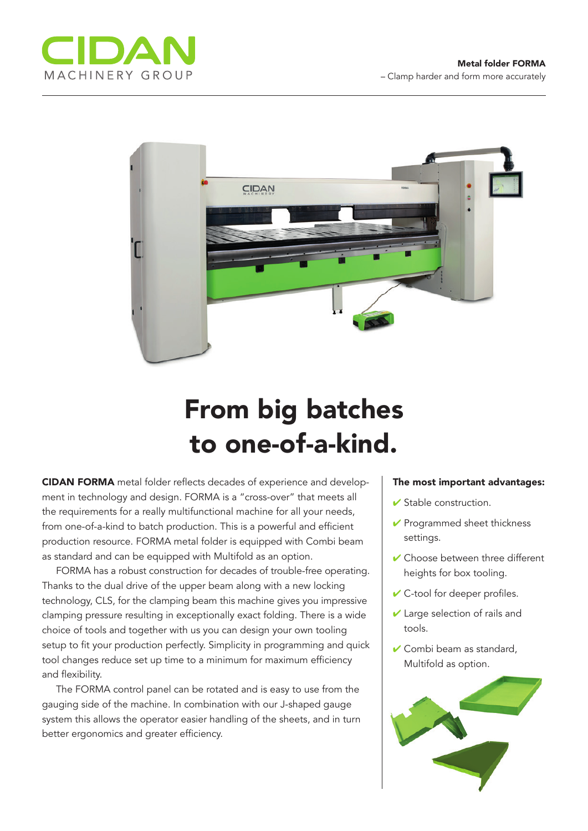



## From big batches to one-of-a-kind.

CIDAN FORMA metal folder reflects decades of experience and development in technology and design. FORMA is a "cross-over" that meets all the requirements for a really multifunctional machine for all your needs, from one-of-a-kind to batch production. This is a powerful and efficient production resource. FORMA metal folder is equipped with Combi beam as standard and can be equipped with Multifold as an option.

FORMA has a robust construction for decades of trouble-free operating. Thanks to the dual drive of the upper beam along with a new locking technology, CLS, for the clamping beam this machine gives you impressive clamping pressure resulting in exceptionally exact folding. There is a wide choice of tools and together with us you can design your own tooling setup to fit your production perfectly. Simplicity in programming and quick tool changes reduce set up time to a minimum for maximum efficiency and flexibility.

The FORMA control panel can be rotated and is easy to use from the gauging side of the machine. In combination with our J-shaped gauge system this allows the operator easier handling of the sheets, and in turn better ergonomics and greater efficiency.

## The most important advantages:

- $\checkmark$  Stable construction.
- $\vee$  Programmed sheet thickness settings.
- $\vee$  Choose between three different heights for box tooling.
- $\vee$  C-tool for deeper profiles.
- $\vee$  Large selection of rails and tools.
- $\vee$  Combi beam as standard, Multifold as option.